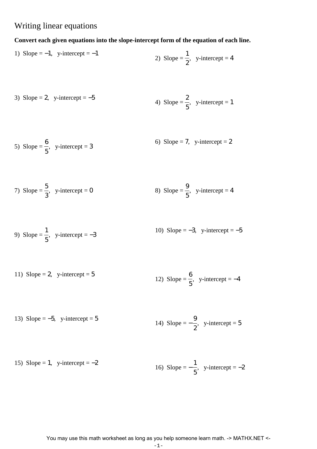# Writing linear equations

## **Convert each given equations into the slope-intercept form of the equation of each line.**

1) Slope = -1, y-intercept = -1  
2) Slope = 
$$
\frac{1}{2}
$$
, y-intercept = 4

3) Slope = 2, y-intercept = -5  
4) Slope = 
$$
\frac{2}{5}
$$
, y-intercept = 1

5) Slope = 
$$
\frac{6}{5}
$$
, y-intercept = 3  
6) Slope = 7, y-intercept = 2

7) Slope = 
$$
\frac{5}{3}
$$
, y-intercept = 0  
8) Slope =  $\frac{9}{5}$ , y-intercept = 4

9) Slope = 
$$
\frac{1}{5}
$$
, y-intercept = -3  
10) Slope = -3, y-intercept = -5

11) Slope = 2, y-intercept = 5  
12) Slope = 
$$
\frac{6}{5}
$$
, y-intercept = -4

13) Slope = -5, y-intercept = 5  
14) Slope = 
$$
-\frac{9}{2}
$$
, y-intercept = 5

15) Slope = 1, y-intercept = 
$$
-2
$$
  
16) Slope =  $-\frac{1}{5}$ , y-intercept =  $-2$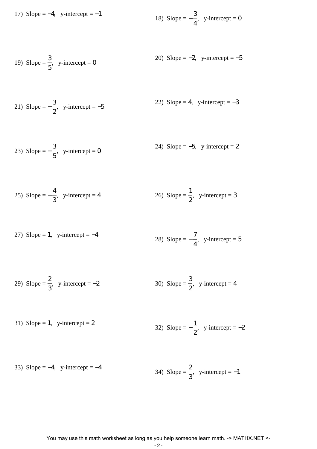17) Slope = -4, y-intercept = -1  
18) Slope = 
$$
-\frac{3}{4}
$$
, y-intercept = 0

19) Slope = 
$$
\frac{3}{5}
$$
, y-intercept = 0  
20) Slope = -2, y-intercept = -5

21) Slope = 
$$
-\frac{3}{2}
$$
, y-intercept = -5  
22) Slope = 4, y-intercept = -3

23) Slope = 
$$
-\frac{3}{5}
$$
, y-intercept = 0  
24) Slope = -5, y-intercept = 2

25) Slope = 
$$
-\frac{4}{3}
$$
, y-intercept = 4  
26) Slope =  $\frac{1}{2}$ , y-intercept = 3

27) Slope = 1, y-intercept = -4  
28) Slope = 
$$
-\frac{7}{4}
$$
, y-intercept = 5

29) Slope = 
$$
\frac{2}{3}
$$
, y-intercept = -2  
30) Slope =  $\frac{3}{2}$ , y-intercept = 4

31) Slope = 1, y-intercept = 2  
32) Slope = 
$$
-\frac{1}{2}
$$
, y-intercept = -2

33) Slope = -4, y-intercept = -4  
34) Slope = 
$$
\frac{2}{3}
$$
, y-intercept = -1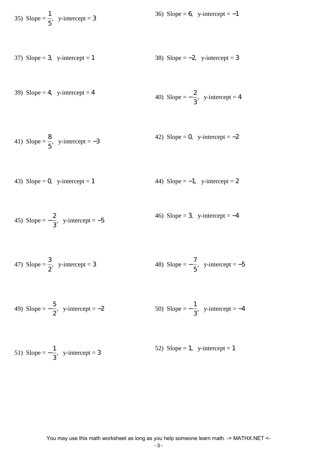35) Slope = 
$$
\frac{1}{5}
$$
, y-intercept = 3  
36) Slope = 6, y-intercept = -1

37) Slope = 3, y-intercept = 1 38) Slope = −2, y-intercept = 3

39) Slope = 4, y-intercept = 4  
40) Slope = 
$$
-\frac{2}{3}
$$
, y-intercept = 4

41) Slope = 
$$
\frac{8}{5}
$$
, y-intercept = -3  
42) Slope = 0, y-intercept = -2

43) Slope = 0, y-intercept = 1 
$$
44
$$
 Slope = -1, y-intercept = 2

45) Slope = 
$$
-\frac{2}{3}
$$
, y-intercept = -5  
46) Slope = 3, y-intercept = -4

47) Slope = 
$$
\frac{3}{2}
$$
, y-intercept = 3  
48) Slope =  $-\frac{7}{5}$ , y-intercept = -5

49) Slope = 
$$
-\frac{5}{2}
$$
, y-intercept = -2  
50) Slope =  $-\frac{1}{3}$ , y-intercept = -4

51) Slope = 
$$
-\frac{1}{3}
$$
, y-intercept = 3  
52) Slope = 1, y-intercept = 1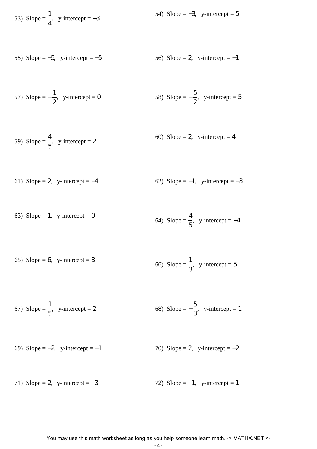53) Slope = 
$$
\frac{1}{4}
$$
, y-intercept = -3  
54) Slope = -3, y-intercept = 5

55) Slope = 
$$
-5
$$
, y-intercept =  $-5$  56) Slope = 2, y-intercept =  $-1$ 

57) Slope = 
$$
-\frac{1}{2}
$$
, y-intercept = 0 58) Slope =  $-\frac{5}{2}$ , y-intercept = 5

59) Slope = 
$$
\frac{4}{5}
$$
, y-intercept = 2  
60) Slope = 2, y-intercept = 4

61) Slope = 2, y-intercept = 
$$
-4
$$
 62) Slope =  $-1$ , y-intercept =  $-3$ 

63) Slope = 1, y-intercept = 0  
64) Slope = 
$$
\frac{4}{5}
$$
, y-intercept = -4

65) Slope = 6, y-intercept = 3  
66) Slope = 
$$
\frac{1}{3}
$$
, y-intercept = 5

67) Slope = 
$$
\frac{1}{5}
$$
, y-intercept = 2  
68) Slope =  $-\frac{5}{3}$ , y-intercept = 1

69) Slope = 
$$
-2
$$
, y-intercept =  $-1$  70) Slope = 2, y-intercept =  $-2$ 

71) Slope = 2, y-intercept = 
$$
-3
$$
 72) Slope =  $-1$ , y-intercept = 1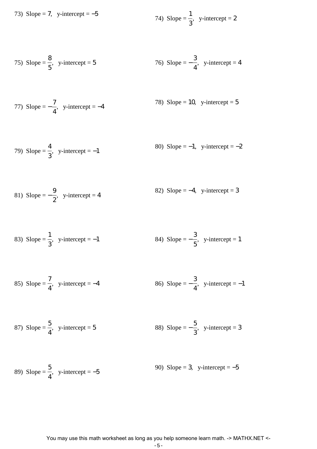73) Slope = 7, y-intercept =  $-5$ 

74) Slope = 
$$
\frac{1}{3}
$$
, y-intercept = 2

75) Slope = 
$$
\frac{8}{5}
$$
, y-intercept = 5  
76) Slope =  $-\frac{3}{4}$ , y-intercept = 4

77) Slope = 
$$
-\frac{7}{4}
$$
, y-intercept = -4  
78) Slope = 10, y-intercept = 5

79) Slope = 
$$
\frac{4}{3}
$$
, y-intercept = -1  
80) Slope = -1, y-intercept = -2

81) Slope = 
$$
-\frac{9}{2}
$$
, y-intercept = 4  
82) Slope = -4, y-intercept = 3

83) Slope = 
$$
\frac{1}{3}
$$
, y-intercept = -1  
84) Slope =  $-\frac{3}{5}$ , y-intercept = 1

85) Slope = 
$$
\frac{7}{4}
$$
, y-intercept = -4  
86) Slope =  $-\frac{3}{4}$ , y-intercept = -1

87) Slope = 
$$
\frac{5}{4}
$$
, y-intercept = 5  
88) Slope =  $-\frac{5}{3}$ , y-intercept = 3

89) Slope = 
$$
\frac{5}{4}
$$
, y-intercept = -5  
90) Slope = 3, y-intercept = -5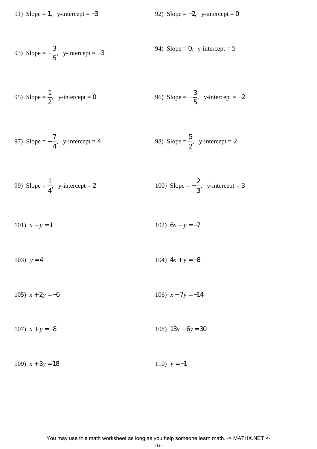91) Slope = 1, y-intercept =  $-3$  92) Slope =  $-2$ , y-intercept = 0

93) Slope = 
$$
-\frac{3}{5}
$$
, y-intercept = -3  
94) Slope = 0, y-intercept = 5

95) Slope = 
$$
\frac{1}{2}
$$
, y-intercept = 0  
96) Slope =  $-\frac{3}{5}$ , y-intercept = -2

97) Slope = 
$$
-\frac{7}{4}
$$
, y-intercept = 4  
98) Slope =  $\frac{5}{2}$ , y-intercept = 2

99) Slope = 
$$
\frac{1}{4}
$$
, y-intercept = 2  
100) Slope =  $-\frac{2}{3}$ , y-intercept = 3

101) 
$$
x - y = 1
$$
 102)  $6x - y = -7$ 

103) 
$$
y = 4
$$
 104)  $4x + y = -8$ 

105)  $x + 2y = -6$  106)  $x - 7y = -14$ 

107) *x* + *y* = −8 108) 13*x* − 6*y* = 30

109)  $x + 3y = 18$  110)  $y = -1$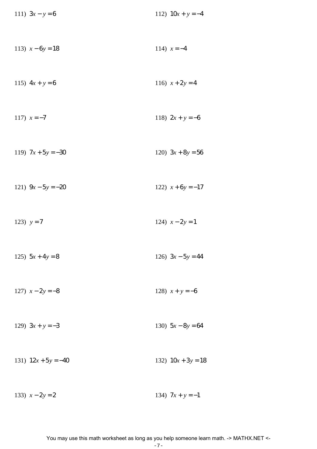| 111) $3x - y = 6$     | 112) $10x + y = -4$  |
|-----------------------|----------------------|
| 113) $x - 6y = 18$    | 114) $x = -4$        |
| 115) $4x + y = 6$     | 116) $x + 2y = 4$    |
| 117) $x = -7$         | 118) $2x + y = -6$   |
| 119) $7x + 5y = -30$  | 120) $3x + 8y = 56$  |
| 121) $9x - 5y = -20$  | 122) $x+6y=-17$      |
|                       |                      |
| 123) $y = 7$          | 124) $x - 2y = 1$    |
| 125) $5x + 4y = 8$    | 126) $3x - 5y = 44$  |
| 127) $x - 2y = -8$    | 128) $x + y = -6$    |
| 129) $3x + y = -3$    | 130) $5x - 8y = 64$  |
| 131) $12x + 5y = -40$ | 132) $10x + 3y = 18$ |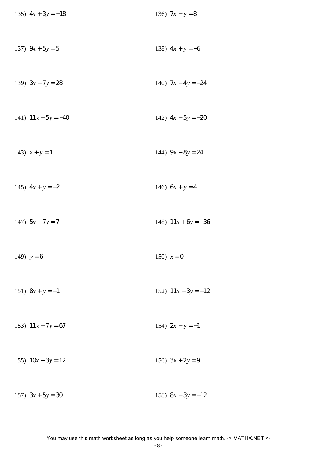| 135) $4x + 3y = -18$  | 136) $7x - y = 8$     |
|-----------------------|-----------------------|
| 137) $9x + 5y = 5$    | 138) $4x + y = -6$    |
| 139) $3x - 7y = 28$   | 140) $7x - 4y = -24$  |
| 141) $11x - 5y = -40$ | 142) $4x - 5y = -20$  |
| 143) $x + y = 1$      | 144) $9x - 8y = 24$   |
| 145) $4x + y = -2$    | 146) $6x + y = 4$     |
| 147) $5x - 7y = 7$    | 148) $11x + 6y = -36$ |
| 149) $y=6$            | 150) $x = 0$          |
| 151) $8x + y = -1$    | 152) $11x - 3y = -12$ |
| 153) $11x + 7y = 67$  | 154) $2x - y = -1$    |
| 155) $10x - 3y = 12$  | 156) $3x + 2y = 9$    |
| 157) $3x + 5y = 30$   | 158) $8x - 3y = -12$  |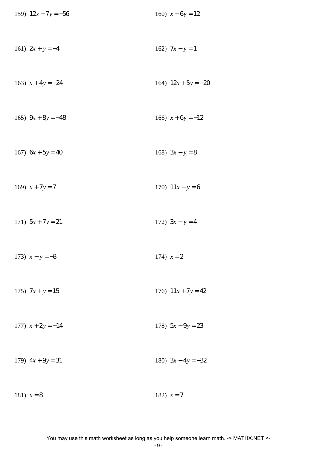| 159) $12x + 7y = -56$ | 160) $x - 6y = 12$    |
|-----------------------|-----------------------|
| 161) $2x + y = -4$    | 162) $7x - y = 1$     |
| 163) $x + 4y = -24$   | 164) $12x + 5y = -20$ |
| 165) $9x + 8y = -48$  | 166) $x + 6y = -12$   |
| 167) $6x + 5y = 40$   | 168) $3x - y = 8$     |
| 169) $x + 7y = 7$     | 170) $11x - y = 6$    |
| 171) $5x + 7y = 21$   | 172) $3x - y = 4$     |
| 173) $x - y = -8$     | 174) $x = 2$          |
| 175) $7x + y = 15$    | 176) $11x + 7y = 42$  |
| 177) $x + 2y = -14$   | 178) $5x - 9y = 23$   |
| 179) $4x + 9y = 31$   | 180) $3x - 4y = -32$  |
| 181) $x = 8$          | 182) $x = 7$          |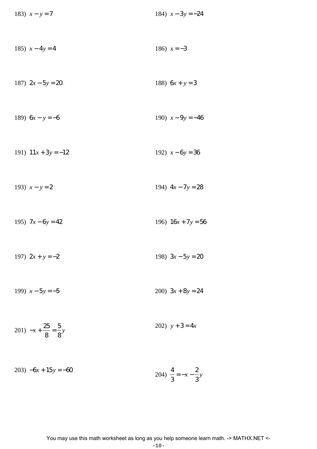| 183) $x - y = 7$                        | 184) $x - 3y = -24$  |
|-----------------------------------------|----------------------|
| 185) $x - 4y = 4$                       | 186) $x = -3$        |
| 187) $2x - 5y = 20$                     | 188) $6x + y = 3$    |
| 189) $6x - y = -6$                      | 190) $x - 9y = -46$  |
| 191) $11x + 3y = -12$                   | 192) $x-6y=36$       |
| 193) $x - y = 2$                        | 194) $4x - 7y = 28$  |
| 195) $7x - 6y = 42$                     | 196) $16x + 7y = 56$ |
| 197) $2x + y = -2$                      | 198) $3x - 5y = 20$  |
| 199) $x - 5y = -5$                      | 200) $3x + 8y = 24$  |
| 201) $-x + \frac{25}{8} = \frac{5}{8}y$ | 202) $y + 3 = 4x$    |
|                                         |                      |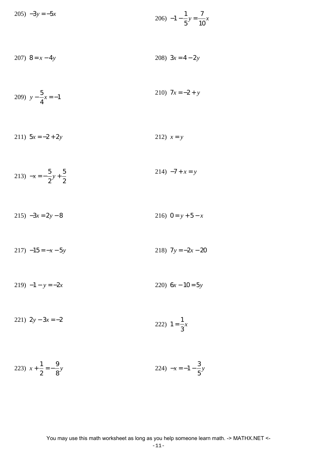$$
205) -3y = -5x
$$
  
206) -1 -  $\frac{1}{5}y = \frac{7}{10}x$ 

$$
207) \ \ 8 = x - 4y \tag{208} \ \ 3x = 4 - 2y
$$

209) 
$$
y - \frac{5}{4}x = -1
$$
  
210)  $7x = -2 + y$ 

211)  $5x = -2 + 2y$ 212)  $x = y$ 

213) 
$$
-x = -\frac{5}{2}y + \frac{5}{2}
$$
 214)  $-7 + x = y$ 

 $215) -3x = 2y - 8$ 216)  $0 = y + 5 - x$ 

 $217) -15 = -x - 5y$ 218)  $7y = -2x - 20$ 

219)  $-1 - y = -2x$ 220)  $6x - 10 = 5y$ 

$$
221) \ 2y - 3x = -2 \qquad \qquad 222) \ 1 = \frac{1}{3}x
$$

223) 
$$
x + \frac{1}{2} = -\frac{9}{8}y
$$
 224)  $-x = -1 - \frac{3}{5}y$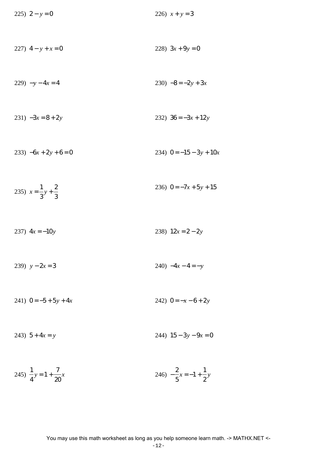225) 
$$
2 - y = 0
$$
  
\n226)  $x + y = 3$   
\n227)  $4 - y + x = 0$   
\n228)  $3x + 9y = 0$   
\n229)  $-y - 4x = 4$   
\n230)  $-8 = -2y + 3x$   
\n231)  $-3x = 8 + 2y$   
\n233)  $-6x + 2y + 6 = 0$   
\n234)  $0 = -15 - 3y + 10x$   
\n235)  $x = \frac{1}{3}y + \frac{2}{3}$   
\n236)  $0 = -7x + 5y + 15$   
\n237)  $4x = -10y$   
\n238)  $12x = 2 - 2y$   
\n239)  $y - 2x = 3$   
\n241)  $0 = -5 + 5y + 4x$   
\n242)  $0 = -x - 6 + 2y$   
\n243)  $5 + 4x = y$   
\n244)  $15 - 3y - 9x = 0$   
\n245)  $\frac{1}{4}y = 1 + \frac{7}{20}x$   
\n246)  $-\frac{2}{5}x = -1 + \frac{1}{2}y$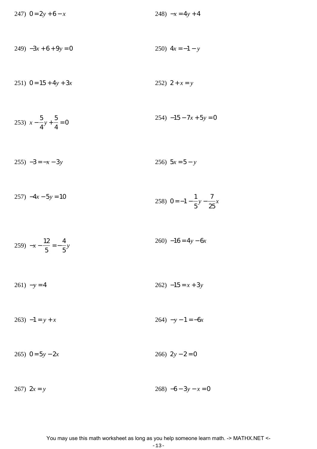247)  $0 = 2y + 6 - x$ 248)  $-x = 4y + 4$ 

$$
249) -3x + 6 + 9y = 0
$$
  
250)  $4x = -1 - y$ 

251)  $0 = 15 + 4y + 3x$ 252)  $2 + x = y$ 

253) 
$$
x - \frac{5}{4}y + \frac{5}{4} = 0
$$
  
254)  $-15 - 7x + 5y = 0$ 

 $255) -3 = -x - 3y$ 256)  $5x = 5 - y$ 

$$
257) -4x - 5y = 10
$$
  
258) 0 = -1 -  $\frac{1}{5}y - \frac{7}{25}x$ 

$$
259) -x - \frac{12}{5} = -\frac{4}{5}y
$$

$$
261) -y = 4 \qquad \qquad 262) -15 = x + 3y
$$

 $264) -y - 1 = -6x$  $263) -1 = y + x$ 

#### 265)  $0 = 5y - 2x$ 266)  $2y - 2 = 0$

$$
267) 2x = y \t\t\t\t\t268) -6 - 3y - x = 0
$$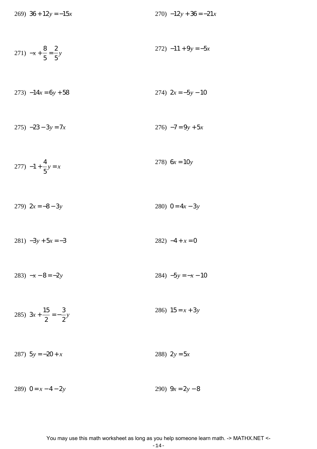269)  $36 + 12y = -15x$ 

271) 
$$
-x + \frac{8}{5} = \frac{2}{5}y
$$
 272)  $-11 + 9y = -5x$ 

$$
273) -14x = 6y + 58 \qquad 274) \quad 2x = -5y - 10
$$

$$
275) -23 - 3y = 7x \qquad 276) -7 = 9y + 5x
$$

$$
277) -1 + \frac{4}{5}y = x \tag{278} \quad 6x = 10y
$$

280)  $0 = 4x - 3y$ 279)  $2x = -8 - 3y$ 

 $281) -3y + 5x = -3$ 282)  $-4 + x = 0$ 

$$
283) -x - 8 = -2y \qquad \qquad 284) -5y = -x - 10
$$

285)  $3x + \frac{15}{2} = -\frac{3}{2}y$ 286)  $15 = x + 3y$ 

287)  $5y = -20 + x$ 288)  $2y = 5x$ 

289)  $0 = x - 4 - 2y$ 290)  $9x = 2y - 8$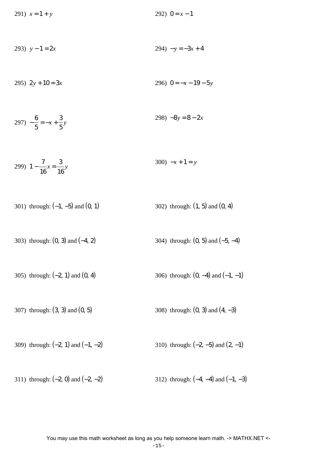291)  $x = 1 + y$  292)  $0 = x - 1$ 

293) 
$$
y - 1 = 2x
$$
 294)  $-y = -3x + 4$ 

295)  $2y + 10 = 3x$  296)  $0 = -x - 19 - 5y$ 

$$
297) -\frac{6}{5} = -x + \frac{3}{5}y
$$
  
298) -8y = 8 - 2x

299) 
$$
1 - \frac{7}{16}x = \frac{3}{16}y
$$
 300)  $-x + 1 = y$ 

301) through: 
$$
(-1, -5)
$$
 and  $(0, 1)$  302) through:  $(1, 5)$  and  $(0, 4)$ 

303) through: 
$$
(0, 3)
$$
 and  $(-4, 2)$  304) through:  $(0, 5)$  and  $(-5, -4)$ 

305) through: 
$$
(-2, 1)
$$
 and  $(0, 4)$  306) through:  $(0, -4)$  and  $(-1, -1)$ 

307) through:  $(3, 3)$  and  $(0, 5)$  308) through:  $(0, 3)$  and  $(4, -3)$ 

309) through:  $(-2, 1)$  and  $(-1, -2)$  310) through:  $(-2, -5)$  and  $(2, -1)$ 

311) through:  $(-2, 0)$  and  $(-2, -2)$  312) through:  $(-4, -4)$  and  $(-1, -3)$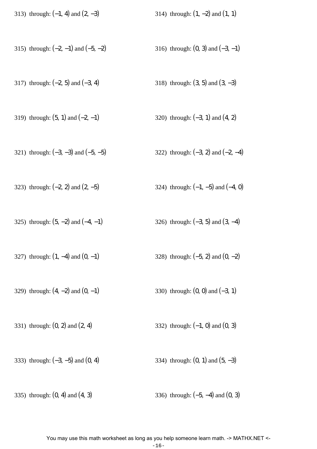| 313) through: $(-1, 4)$ and $(2, -3)$ | 314) through: $(1, -2)$ and $(1, 1)$ |
|---------------------------------------|--------------------------------------|
|---------------------------------------|--------------------------------------|

- 315) through:  $(-2, -1)$  and  $(-5, -2)$  316) through:  $(0, 3)$  and  $(-3, -1)$
- 317) through:  $(-2, 5)$  and  $(-3, 4)$  318) through:  $(3, 5)$  and  $(3, -3)$
- 319) through:  $(5, 1)$  and  $(-2, -1)$  320) through:  $(-3, 1)$  and  $(4, 2)$
- 321) through:  $(-3, -3)$  and  $(-5, -5)$  322) through:  $(-3, 2)$  and  $(-2, -4)$
- 323) through:  $(-2, 2)$  and  $(2, -5)$  324) through:  $(-1, -5)$  and  $(-4, 0)$
- 325) through:  $(5, -2)$  and  $(-4, -1)$  326) through:  $(-3, 5)$  and  $(3, -4)$
- 327) through:  $(1, -4)$  and  $(0, -1)$  328) through:  $(-5, 2)$  and  $(0, -2)$
- 329) through:  $(4, -2)$  and  $(0, -1)$  330) through:  $(0, 0)$  and  $(-3, 1)$
- 331) through:  $(0, 2)$  and  $(2, 4)$  332) through:  $(-1, 0)$  and  $(0, 3)$
- 333) through:  $(-3, -5)$  and  $(0, 4)$  334) through:  $(0, 1)$  and  $(5, -3)$
- 335) through:  $(0, 4)$  and  $(4, 3)$  336) through:  $(-5, -4)$  and  $(0, 3)$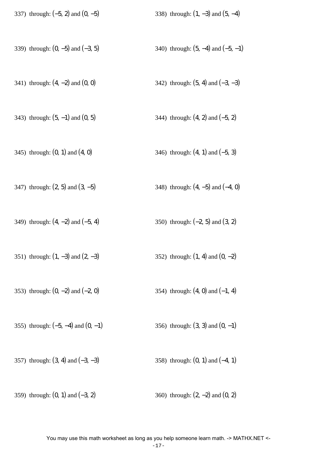| 337) through: $(-5, 2)$ and $(0, -5)$  | 338) through: $(1, -3)$ and $(5, -4)$  |
|----------------------------------------|----------------------------------------|
| 339) through: $(0, -5)$ and $(-3, 5)$  | 340) through: $(5, -4)$ and $(-5, -1)$ |
| 341) through: $(4, -2)$ and $(0, 0)$   | 342) through: $(5, 4)$ and $(-3, -3)$  |
| 343) through: $(5, -1)$ and $(0, 5)$   | 344) through: $(4, 2)$ and $(-5, 2)$   |
| 345) through: $(0, 1)$ and $(4, 0)$    | 346) through: $(4, 1)$ and $(-5, 3)$   |
| 347) through: $(2, 5)$ and $(3, -5)$   | 348) through: $(4, -5)$ and $(-4, 0)$  |
| 349) through: $(4, -2)$ and $(-5, 4)$  | 350) through: $(-2, 5)$ and $(3, 2)$   |
| 351) through: $(1, -3)$ and $(2, -3)$  | 352) through: $(1, 4)$ and $(0, -2)$   |
| 353) through: $(0, -2)$ and $(-2, 0)$  | 354) through: $(4, 0)$ and $(-1, 4)$   |
| 355) through: $(-5, -4)$ and $(0, -1)$ | 356) through: $(3, 3)$ and $(0, -1)$   |
| 357) through: $(3, 4)$ and $(-3, -3)$  | 358) through: $(0, 1)$ and $(-4, 1)$   |
| 359) through: $(0, 1)$ and $(-3, 2)$   | 360) through: $(2, -2)$ and $(0, 2)$   |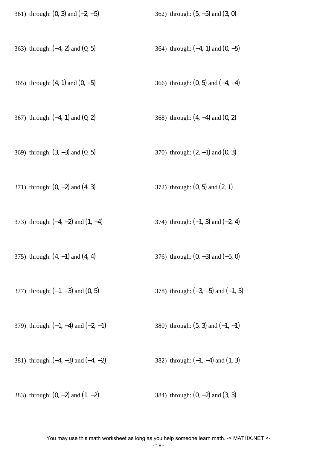| 361) through: $(0, 3)$ and $(-2, -5)$   | 362) through: $(5, -5)$ and $(3, 0)$   |
|-----------------------------------------|----------------------------------------|
| 363) through: $(-4, 2)$ and $(0, 5)$    | 364) through: $(-4, 1)$ and $(0, -5)$  |
| 365) through: $(4, 1)$ and $(0, -5)$    | 366) through: $(0, 5)$ and $(-4, -4)$  |
| 367) through: $(-4, 1)$ and $(0, 2)$    | 368) through: $(4, -4)$ and $(0, 2)$   |
| 369) through: $(3, -3)$ and $(0, 5)$    | 370) through: $(2, -1)$ and $(0, 3)$   |
| 371) through: $(0, -2)$ and $(4, 3)$    | 372) through: $(0, 5)$ and $(2, 1)$    |
| 373) through: $(-4, -2)$ and $(1, -4)$  | 374) through: $(-1, 3)$ and $(-2, 4)$  |
| 375) through: $(4, -1)$ and $(4, 4)$    | 376) through: $(0, -3)$ and $(-5, 0)$  |
| 377) through: $(-1, -3)$ and $(0, 5)$   | 378) through: $(-3, -5)$ and $(-1, 5)$ |
| 379) through: $(-1, -4)$ and $(-2, -1)$ | 380) through: $(5, 3)$ and $(-1, -1)$  |
| 381) through: $(-4, -3)$ and $(-4, -2)$ | 382) through: $(-1, -4)$ and $(1, 3)$  |
| 383) through: $(0, -2)$ and $(1, -2)$   | 384) through: $(0, -2)$ and $(3, 3)$   |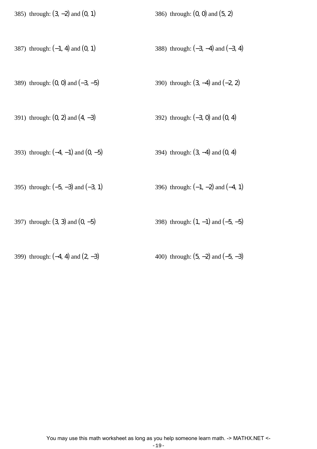|  |  | 385) through: $(3, -2)$ and $(0, 1)$ | 386) through: $(0, 0)$ and $(5, 2)$ |  |
|--|--|--------------------------------------|-------------------------------------|--|
|--|--|--------------------------------------|-------------------------------------|--|

- 387) through: (−1, 4) and (0, 1) 388) through: (−3, −4) and (−3, 4)
- 389) through: (0, 0) and (−3, −5) 390) through: (3, −4) and (−2, 2)
- 391) through: (0, 2) and (4, −3) 392) through: (−3, 0) and (0, 4)
- 393) through: (−4, −1) and (0, −5) 394) through: (3, −4) and (0, 4)
- 395) through:  $(-5, -3)$  and  $(-3, 1)$  396) through:  $(-1, -2)$  and  $(-4, 1)$
- 397) through:  $(3, 3)$  and  $(0, -5)$  398) through:  $(1, -1)$  and  $(-5, -5)$
- 399) through:  $(-4, 4)$  and  $(2, -3)$  400) through:  $(5, -2)$  and  $(-5, -3)$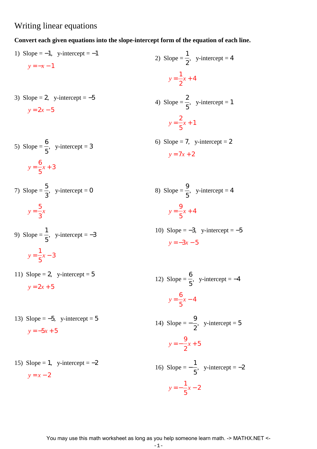### Writing linear equations

### **Convert each given equations into the slope-intercept form of the equation of each line.**

1) Slope =  $-1$ , y-intercept =  $-1$  $y = -x - 1$ 2) Slope  $=$ 1 2  $,$  y-intercept = 4 *y* = 1 2 *x* + 4 3) Slope = 2, y-intercept =  $-5$  $y = 2x - 5$ 4) Slope  $=$ 2 5  $,$  y-intercept = 1 *y* = 2 5 *x* + 1 5) Slope  $=$ 6 5  $,$  y-intercept = 3 *y* = 6 5 *x* + 3 6) Slope = 7, y-intercept = 2  $y = 7x + 2$ 7) Slope  $=$ 5 3  $,$  y-intercept = 0 *y* = 5 3 *x* 8) Slope  $=$ 9 5  $,$  y-intercept = 4 *y* = 9 5 *x* + 4 9) Slope  $=$ 1 5  $,$  y-intercept =  $-3$ *y* = 1 5 *x* − 3 10) Slope =  $-3$ , y-intercept =  $-5$ *y* = −3*x* − 5 11) Slope = 2, y-intercept =  $5$  $y = 2x + 5$ 12) Slope  $=$ 6 5  $,$  y-intercept =  $-4$ *y* = 6 5 *x* − 4 13) Slope =  $-5$ , y-intercept =  $5$ *y* = −5*x* + 5 14) Slope  $=-$ 9 2  $,$  y-intercept = 5 *y* = − 9 2 *x* + 5 15) Slope = 1, y-intercept =  $-2$  $y = x - 2$ 16) Slope  $=-$ 1 5  $,$  y-intercept =  $-2$ *y* = − 1 5 *x* − 2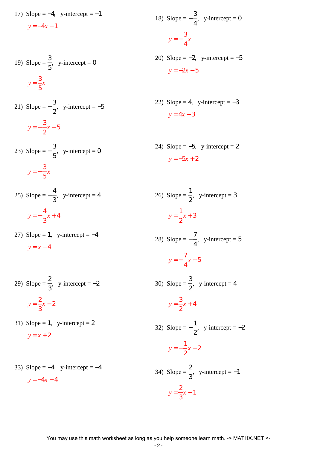17) Slope =  $-4$ , y-intercept =  $-1$  $y = -4x - 1$ 

19) Slope = 
$$
\frac{3}{5}
$$
, y-intercept = 0  

$$
y = \frac{3}{5}x
$$

21) Slope = 
$$
-\frac{3}{2}
$$
, y-intercept = -5  

$$
y = -\frac{3}{2}x - 5
$$

- 23) Slope  $=-$ 3 5  $,$  y-intercept = 0 *y* = − 3 5 *x*
- $25)$  Slope =  $-$ 4 3  $,$  y-intercept = 4 *y* = − 4 3 *x* + 4
- 27) Slope = 1, y-intercept =  $-4$  $y = x - 4$

29) Slope = 
$$
\frac{2}{3}
$$
, y-intercept = -2  

$$
y = \frac{2}{3}x - 2
$$

- 31) Slope = 1, y-intercept = 2  $y = x + 2$
- 33) Slope =  $-4$ , y-intercept =  $-4$  $y = -4x - 4$

18) Slope = 
$$
-\frac{3}{4}
$$
, y-intercept = 0  
\n $y = -\frac{3}{4}x$   
\n20) Slope = -2, y-intercept = -5  
\n $y = -2x - 5$   
\n22) Slope = 4, y-intercept = -3  
\n $y = 4x - 3$   
\n24) Slope = -5, y-intercept = 2  
\n $y = -5x + 2$ 

 $26)$  Slope = 1 2  $,$  y-intercept = 3  $y =$ 1 *x* + 3

2

28) Slope = 
$$
-\frac{7}{4}
$$
, y-intercept = 5  

$$
y = -\frac{7}{4}x + 5
$$

 $30)$  Slope = 3 2  $,$  y-intercept = 4  $y =$ 3 2 *x* + 4

32) Slope  $=-$ 1 2  $,$  y-intercept =  $-2$ *y* = − 1 2 *x* − 2 2

34) Slope = 
$$
\frac{2}{3}
$$
, y-intercept = -1  

$$
y = \frac{2}{3}x - 1
$$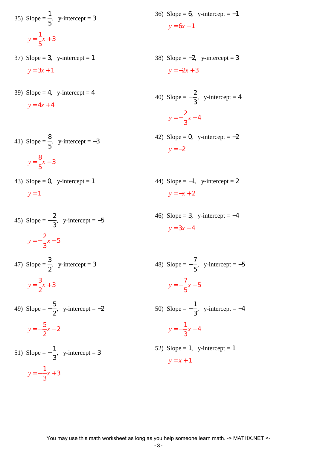35) Slope = 
$$
\frac{1}{5}
$$
, y-intercept = 3  

$$
y = \frac{1}{5}x + 3
$$

- 37) Slope = 3, y-intercept = 1  $y = 3x + 1$
- 39) Slope = 4, y-intercept = 4  $y = 4x + 4$

41) Slope = 
$$
\frac{8}{5}
$$
, y-intercept = -3  

$$
y = \frac{8}{5}x - 3
$$

43) Slope = 0, y-intercept = 1  $y = 1$ 

45) Slope = 
$$
-\frac{2}{3}
$$
, y-intercept = -5  

$$
y = -\frac{2}{3}x - 5
$$
  
47) Slope =  $\frac{3}{2}$ , y-intercept = 3

$$
y = \frac{3}{2}x + 3
$$

49) Slope = 
$$
-\frac{5}{2}
$$
, y-intercept = -2  

$$
y = -\frac{5}{2}x - 2
$$

51) Slope = 
$$
-\frac{1}{3}
$$
, y-intercept = 3  

$$
y = -\frac{1}{3}x + 3
$$

- 36) Slope = 6, y-intercept =  $-1$  $y = 6x - 1$
- 38) Slope =  $-2$ , y-intercept = 3  $y = -2x + 3$

40) Slope = 
$$
-\frac{2}{3}
$$
, y-intercept = 4  

$$
y = -\frac{2}{3}x + 4
$$

42) Slope = 0, y-intercept =  $-2$  $y = -2$ 

- 44) Slope =  $-1$ , y-intercept = 2 *y* = −*x* + 2
- 46) Slope = 3, y-intercept =  $-4$ *y* = 3*x* − 4

48) Slope = 
$$
-\frac{7}{5}
$$
, y-intercept = -5  
\n $y = -\frac{7}{5}x - 5$   
\n50) Slope =  $-\frac{1}{3}$ , y-intercept = -4  
\n $y = -\frac{1}{3}x - 4$   
\n52) Slope = 1, y-intercept = 1  
\n $y = x + 1$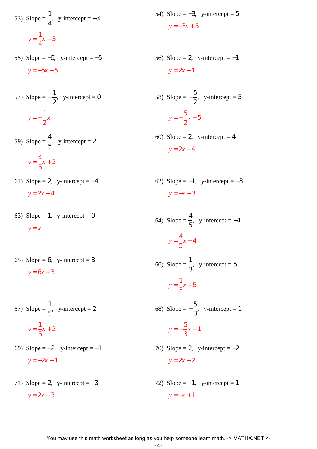53) Slope = 
$$
\frac{1}{4}
$$
, y-intercept = -3  

$$
y = \frac{1}{4}x - 3
$$

55) Slope =  $-5$ , y-intercept =  $-5$  $y = -5x - 5$ 

57) Slope = 
$$
-\frac{1}{2}
$$
, y-intercept = 0  

$$
y = -\frac{1}{2}x
$$

- 59) Slope  $=$ 4 5  $,$  y-intercept = 2 *y* = 4 5 *x* + 2
- 61) Slope = 2, y-intercept =  $-4$  $y = 2x - 4$
- 63) Slope = 1, y-intercept = 0 *y* = *x*
- 65) Slope = 6, y-intercept = 3  $y = 6x + 3$
- 67) Slope  $=$ 1 5  $,$  y-intercept = 2 *y* = 1 5 *x* + 2
- 69) Slope  $=-2$ , y-intercept  $=-1$  $y = -2x - 1$
- 71) Slope = 2, y-intercept =  $-3$  $y = 2x - 3$
- 54) Slope =  $-3$ , y-intercept = 5  $y = -3x + 5$
- 56) Slope = 2, y-intercept =  $-1$  $y = 2x - 1$

58) Slope = 
$$
-\frac{5}{2}
$$
, y-intercept = 5  
 $y = -\frac{5}{2}x + 5$ 

- 60) Slope = 2, y-intercept = 4  $y = 2x + 4$
- 62) Slope =  $-1$ , y-intercept =  $-3$  $y = -x - 3$

64) Slope = 
$$
\frac{4}{5}
$$
, y-intercept = -4  

$$
y = \frac{4}{5}x - 4
$$

66) Slope  $=$ 1 3  $,$  y-intercept = 5  $y =$ 1 3 *x* + 5

68) Slope  $=-$ 5 3  $,$  y-intercept = 1 *y* = − 5 3 *x* + 1

- 70) Slope = 2, y-intercept =  $-2$  $y = 2x - 2$
- 72) Slope =  $-1$ , y-intercept = 1  $y = -x + 1$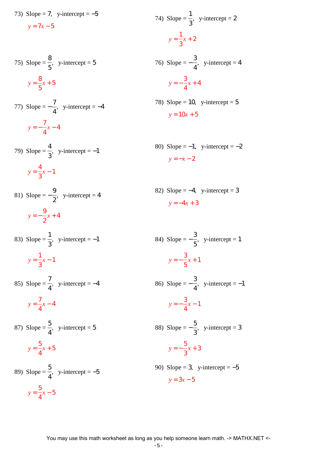73) Slope = 7, y-intercept =  $-5$ 

 $y = 7x - 5$ 

75) Slope = 
$$
\frac{8}{5}
$$
, y-intercept = 5  

$$
y = \frac{8}{5}x + 5
$$

77) Slope = 
$$
-\frac{7}{4}
$$
, y-intercept = -4  

$$
y = -\frac{7}{4}x - 4
$$

79) Slope = 4 3  $,$  y-intercept =  $-1$  $y =$ 4 3 *x* − 1

81) Slope = 
$$
-\frac{9}{2}
$$
, y-intercept = 4  
 $y = -\frac{9}{2}x + 4$ 

83) Slope  $=$ 1 3  $,$  y-intercept =  $-1$  $y =$ 1 *x* − 1

3

4

- 85) Slope  $=$ 7 4  $,$  y-intercept =  $-4$  $y =$ 7 *x* − 4
- 87) Slope  $=$ 5 4  $,$  y-intercept = 5  $y =$ 5 4 *x* + 5
- 89) Slope = 5 4  $,$  y-intercept =  $-5$  $y =$ 5 4 *x* − 5

74) Slope = 
$$
\frac{1}{3}
$$
, y-intercept = 2  
y =  $\frac{1}{3}x + 2$ 

76) Slope = − 4  $,$  y-intercept = 4 *y* = − 3 4 *x* + 4

- 78) Slope = 10, y-intercept =  $5$  $y = 10x + 5$
- 80) Slope =  $-1$ , y-intercept =  $-2$ *y* = −*x* − 2
- 82) Slope =  $-4$ , y-intercept = 3  $y = -4x + 3$

84) Slope = 
$$
-\frac{3}{5}
$$
, y-intercept = 1  
\n $y = -\frac{3}{5}x + 1$   
\n86) Slope =  $-\frac{3}{4}$ , y-intercept = -1  
\n $y = -\frac{3}{4}x - 1$   
\n88) Slope =  $-\frac{5}{3}$ , y-intercept = 3  
\n $y = -\frac{5}{3}x + 3$   
\n90) Slope = 3, y-intercept = -5  
\n $y = 3x - 5$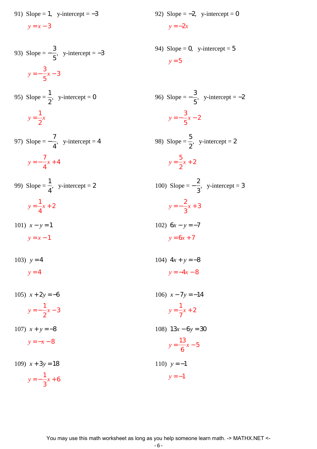91) Slope = 1, y-intercept =  $-3$ 

 $y = x - 3$ 

93) Slope = 
$$
-\frac{3}{5}
$$
, y-intercept = -3  
 $y = -\frac{3}{5}x - 3$ 

95) Slope = 
$$
\frac{1}{2}
$$
, y-intercept = 0  

$$
y = \frac{1}{2}x
$$

97) Slope = 
$$
-\frac{7}{4}
$$
, y-intercept = 4  

$$
y = -\frac{7}{4}x + 4
$$

99) Slope = 1 4  $,$  y-intercept = 2 *y* = 1 4 *x* + 2

3

101)  $x - y = 1$  $y = x - 1$ 102) 6*x* − *y* = −7  $y = 6x + 7$ 

103)  $y = 4$  $v = 4$ 

105)  $x + 2y = -6$ *y* = − 1 2 *x* − 3 106)  $x - 7y = -14$ *y* = 1 7 *x* + 2 107)  $x + y = -8$  $y = -x - 8$ 108) 13*x* − 6*y* = 30  $y =$ 13 6 *x* − 5 109)  $x + 3y = 18$ *y* = − 1 *x* + 6 110)  $y = -1$  $y = -1$ 

92) Slope = -2, y-intercept = 0  

$$
y = -2x
$$

94) Slope = 0, y-intercept =  $5$  $y = 5$ 

96) Slope = 
$$
-\frac{3}{5}
$$
, y-intercept = -2  
\n $y = -\frac{3}{5}x - 2$   
\n98) Slope =  $\frac{5}{2}$ , y-intercept = 2  
\n $y = \frac{5}{2}x + 2$   
\n100) Slope =  $-\frac{2}{3}$ , y-intercept = 3

$$
y = -\frac{2}{3}x + 3
$$

$$
y = 6x + 7
$$
  
104) 
$$
4x + y = -8
$$

$$
y = -4x - 8
$$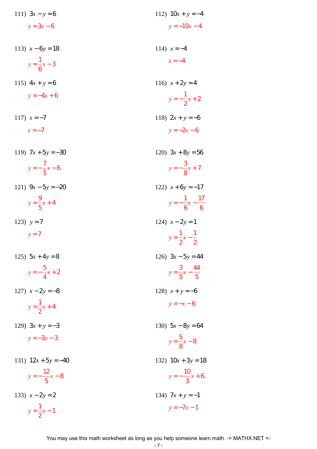| 111) $3x - y = 6$       | 112) $10x + y = -4$                |
|-------------------------|------------------------------------|
| $y = 3x - 6$            | $y = -10x - 4$                     |
| 113) $x-6y=18$          | 114) $x = -4$                      |
| $y = \frac{1}{6}x - 3$  | $x = -4$                           |
| 115) $4x + y = 6$       | 116) $x + 2y = 4$                  |
| $y = -4x + 6$           | $y=-\frac{1}{2}x+2$                |
| 117) $x = -7$           | 118) $2x + y = -6$                 |
| $x = -7$                | $y = -2x - 6$                      |
| 119) $7x + 5y = -30$    | 120) $3x + 8y = 56$                |
| $y = -\frac{7}{5}x - 6$ | $y = -\frac{3}{8}x + 7$            |
| 121) $9x - 5y = -20$    | 122) $x+6y=-17$                    |
| $y = \frac{9}{5}x + 4$  | $y = -\frac{1}{6}x - \frac{17}{6}$ |
| 123) $y = 7$            | 124) $x - 2y = 1$                  |
| $y = 7$                 | $y = \frac{1}{2}x - \frac{1}{2}$   |
| 125) $5x + 4y = 8$      | 126) $3x - 5y = 44$                |
| $y = -\frac{5}{4}x + 2$ | $y = \frac{3}{5}x - \frac{44}{5}$  |
| 127) $x - 2y = -8$      | 128) $x + y = -6$                  |
| $y = \frac{1}{2}x + 4$  | $y = -x - 6$                       |
| 129) $3x + y = -3$      | 130) $5x - 8y = 64$                |
| $y = -3x - 3$           | $y = \frac{5}{8}x - 8$             |
| 131) $12x + 5y = -40$   | 132) $10x + 3y = 18$               |
| $y=-\frac{12}{5}x-8$    | $y=-\frac{10}{3}x+6$               |
| 133) $x - 2y = 2$       | 134) $7x + y = -1$                 |
| $y = \frac{1}{2}x - 1$  | $y = -7x - 1$                      |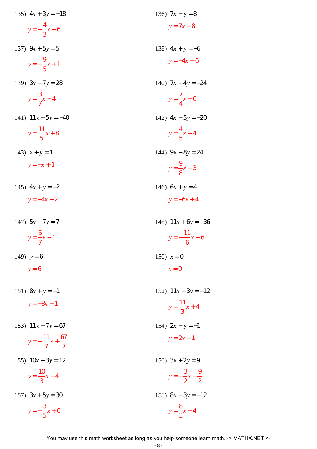| 135) $4x + 3y = -18$            | 136) $7x - y = 8$             |
|---------------------------------|-------------------------------|
| $y=-\frac{4}{3}x-6$             | $y = 7x - 8$                  |
| 137) $9x + 5y = 5$              | 138) $4x + y = -6$            |
| $y=-\frac{9}{5}x+1$             | $y = -4x - 6$                 |
| 139) $3x - 7y = 28$             | 140) $7x-4y=-24$              |
| $y = \frac{3}{7}x - 4$          | $y = \frac{7}{4}x + 6$        |
| 141) $11x - 5y = -40$           | 142) $4x - 5y = -20$          |
| $y = \frac{11}{5}x + 8$         | $y = \frac{4}{5}x + 4$        |
| 143) $x + y = 1$                | 144) $9x - 8y = 24$           |
| $y = -x + 1$                    | $y = \frac{9}{8}x - 3$        |
| 145) $4x + y = -2$              | 146) $6x + y = 4$             |
| $y = -4x - 2$                   | $y = -6x + 4$                 |
| 147) $5x - 7y = 7$              | 148) $11x + 6y = -36$         |
|                                 |                               |
| $y = \frac{5}{7}x - 1$          | $y = -\frac{11}{6}x - 6$      |
| 149) $y = 6$                    | 150) $x = 0$                  |
| $y = 6$                         | $x=0$                         |
| 151) $8x + y = -1$              | 152) $11x - 3y = -12$         |
| $y = -8x - 1$                   | $y = \frac{11}{3}x + 4$       |
| 153) $11x + 7y = 67$            | 154) $2x - y = -1$            |
| $y=-\frac{11}{7}x+\frac{67}{7}$ | $y = 2x + 1$                  |
| 155) $10x - 3y = 12$            | 156) $3x + 2y = 9$            |
| $y = \frac{10}{3}x - 4$         | $y=-\frac{3}{2}x+\frac{9}{2}$ |
| 157) $3x + 5y = 30$             | 158) $8x - 3y = -12$          |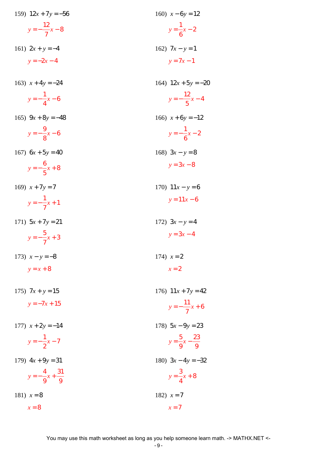| 159) $12x + 7y = -56$              | 160) $x - 6y = 12$                |
|------------------------------------|-----------------------------------|
| $y=-\frac{12}{7}x-8$               | $y = \frac{1}{6}x - 2$            |
| 161) $2x + y = -4$                 | 162) $7x - y = 1$                 |
| $y = -2x - 4$                      | $y = 7x - 1$                      |
| 163) $x + 4y = -24$                | 164) $12x + 5y = -20$             |
| $y = -\frac{1}{4}x - 6$            | $y = -\frac{12}{5}x - 4$          |
| 165) $9x + 8y = -48$               | 166) $x+6y=-12$                   |
| $y = -\frac{9}{8}x - 6$            | $y=-\frac{1}{6}x-2$               |
| 167) $6x + 5y = 40$                | 168) $3x - y = 8$                 |
| $y = -\frac{6}{5}x + 8$            | $y = 3x - 8$                      |
| 169) $x + 7y = 7$                  | 170) $11x - y = 6$                |
| $y=-\frac{1}{7}x+1$                | $y = 11x - 6$                     |
| 171) $5x + 7y = 21$                | 172) $3x - y = 4$                 |
| $y=-\frac{5}{7}x+3$                | $y = 3x - 4$                      |
| 173) $x - y = -8$                  | 174) $x = 2$                      |
| $y = x + 8$                        | $x=2$                             |
| 175) $7x + y = 15$                 | 176) $11x + 7y = 42$              |
| $y = -7x + 15$                     | $y=-\frac{11}{7}x+6$              |
| 177) $x + 2y = -14$                | 178) $5x - 9y = 23$               |
| $y=-\frac{1}{2}x-7$                | $y = \frac{5}{9}x - \frac{23}{9}$ |
| 179) $4x + 9y = 31$                | 180) $3x-4y=-32$                  |
| $y = -\frac{4}{9}x + \frac{31}{9}$ | $y = \frac{3}{4}x + 8$            |
| 181) $x = 8$                       | 182) $x = 7$                      |
| $x=8$                              | $x=7$                             |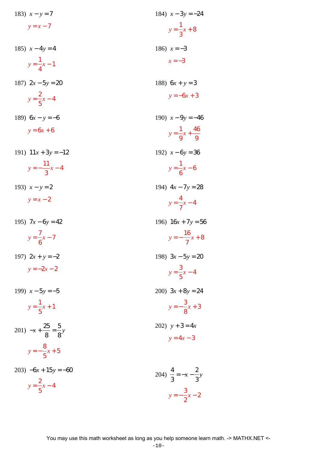| 183) $x - y = 7$                        | 184) $x-3y=-24$                        |
|-----------------------------------------|----------------------------------------|
| $y = x - 7$                             | $y = \frac{1}{3}x + 8$                 |
| 185) $x - 4y = 4$                       | 186) $x = -3$                          |
| $y = \frac{1}{4}x - 1$                  | $x = -3$                               |
| 187) $2x - 5y = 20$                     | 188) $6x + y = 3$                      |
| $y = \frac{2}{5}x - 4$                  | $y = -6x + 3$                          |
| 189) $6x - y = -6$                      | 190) $x - 9y = -46$                    |
| $y = 6x + 6$                            | $y = \frac{1}{9}x + \frac{46}{9}$      |
| 191) $11x + 3y = -12$                   | 192) $x-6y=36$                         |
| $y=-\frac{11}{3}x-4$                    | $y = \frac{1}{6}x - 6$                 |
| 193) $x - y = 2$                        | 194) $4x - 7y = 28$                    |
| $y = x - 2$                             | $y = \frac{4}{7}x - 4$                 |
| 195) $7x-6y=42$                         | 196) $16x + 7y = 56$                   |
| $y = \frac{7}{6}x - 7$                  | $y=-\frac{16}{7}x+8$                   |
| 197) $2x + y = -2$                      | 198) $3x - 5y = 20$                    |
| $y = -2x - 2$                           | $y = \frac{3}{5}x - 4$                 |
| 199) $x - 5y = -5$                      | 200) $3x + 8y = 24$                    |
| $y = \frac{1}{5}x + 1$                  | $y = -\frac{3}{8}x + 3$                |
| 201) $-x + \frac{25}{8} = \frac{5}{8}y$ | 202) $y + 3 = 4x$                      |
| $y = -\frac{8}{5}x + 5$                 | $y = 4x - 3$                           |
| 203) $-6x + 15y = -60$                  |                                        |
| $y = \frac{2}{5}x - 4$                  | 204) $\frac{4}{3} = -x - \frac{2}{3}y$ |
|                                         | $y=-\frac{3}{2}x-2$                    |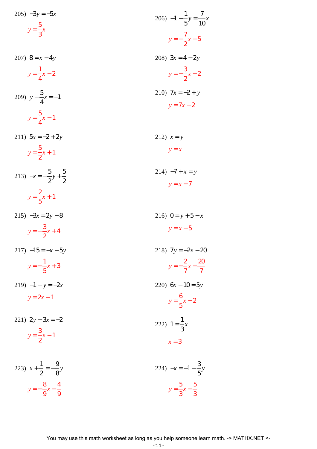205) 
$$
-3y = -5x
$$
  
\n $y = \frac{5}{3}x$   
\n206)  $-1 - \frac{1}{5}y = \frac{7}{10}x$   
\n $y = -\frac{7}{2}x - 5$   
\n207)  $8 = x - 4y$   
\n $y = \frac{1}{4}x - 2$   
\n208)  $3x = 4 - 2y$   
\n $y = -\frac{3}{2}x + 2$   
\n209)  $y - \frac{5}{4}x = -1$   
\n210)  $7x = -2 + y$   
\n $y = \frac{5}{4}x - 1$   
\n211)  $5x = -2 + 2y$   
\n $y = \frac{5}{2}x + 1$   
\n213)  $-x = -\frac{5}{2}y + \frac{5}{2}$   
\n $y = \frac{2}{5}x + 1$   
\n215)  $-3x = 2y - 8$   
\n $y = -\frac{3}{2}x + 4$   
\n216)  $0 = y + 5 - x$   
\n $y = -\frac{7}{5}x + 3$   
\n217)  $-15 = -x - 5y$   
\n $y = -\frac{1}{5}x + 3$   
\n218)  $7y = -2x - 20$   
\n $y = 2x - 1$   
\n220)  $6x - 10 = 5y$   
\n $y = \frac{6}{5}x - 2$   
\n221)  $2y - 3x = -2$   
\n222)  $1 = \frac{1}{3}x$   
\n223)  $x + \frac{1}{2} = -\frac{9}{8}y$   
\n224)  $-x = -1 - \frac{3}{5}y$ 

 $y = -\frac{8}{9}x - \frac{4}{9}$ 

 $y = \frac{5}{3}x - \frac{5}{3}$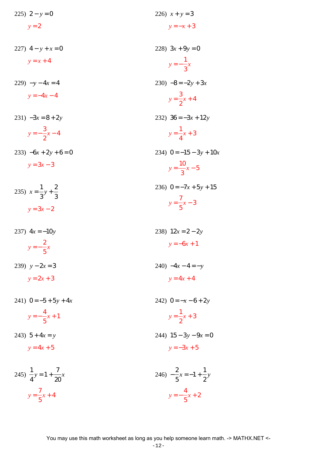| 225) $2 - y = 0$                        | 226) $x + y = 3$                     |
|-----------------------------------------|--------------------------------------|
| $y = 2$                                 | $y = -x + 3$                         |
|                                         |                                      |
| 227) $4 - y + x = 0$                    | 228) $3x + 9y = 0$                   |
| $y = x + 4$                             | $y = -\frac{1}{3}x$                  |
|                                         |                                      |
| $229) -y - 4x = 4$                      | $230) -8 = -2y + 3x$                 |
| $y = -4x - 4$                           | $y = \frac{3}{2}x + 4$               |
|                                         |                                      |
| $231) -3x = 8 + 2y$                     | 232) $36 = -3x + 12y$                |
| $y=-\frac{3}{2}x-4$                     | $y = \frac{1}{4}x + 3$               |
| $-6x+2y+6=0$                            | 234) $0 = -15 - 3y + 10x$            |
| $y = 3x - 3$                            | $y = \frac{10}{3}x - 5$              |
|                                         | 236) $0 = -7x + 5y + 15$             |
| 235) $x = \frac{1}{3}y + \frac{2}{3}$   |                                      |
| $y = 3x - 2$                            | $y = \frac{7}{5}x - 3$               |
| 237) $4x = -10y$                        | 238) $12x = 2 - 2y$                  |
| $y=-\frac{2}{5}x$                       | $y = -6x + 1$                        |
|                                         |                                      |
| 239) $y - 2x = 3$                       | 240) $-4x-4=-y$                      |
| $y = 2x + 3$                            | $y = 4x + 4$                         |
| 241) $0 = -5 + 5y + 4x$                 | 242) $0 = -x - 6 + 2y$               |
|                                         |                                      |
| $y=-\frac{4}{5}x+1$                     | $y = \frac{1}{2}x + 3$               |
| 243) $5 + 4x = y$                       | 244) $15 - 3y - 9x = 0$              |
| $y = 4x + 5$                            | $y = -3x + 5$                        |
|                                         |                                      |
| 245) $\frac{1}{4}y = 1 + \frac{7}{20}x$ | 246) $-\frac{2}{5}x=-1+\frac{1}{2}y$ |
|                                         |                                      |
| $y = \frac{7}{5}x + 4$                  | $y=-\frac{4}{5}x+2$                  |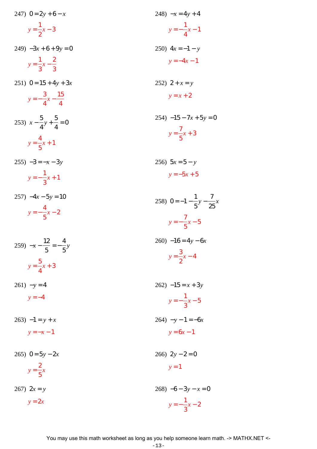| 247) $0 = 2y + 6 - x$                     | 248) $-x = 4y + 4$                           |
|-------------------------------------------|----------------------------------------------|
| $y = \frac{1}{2}x - 3$                    | $y = -\frac{1}{4}x - 1$                      |
| $249$ ) $-3x + 6 + 9y = 0$                | 250) $4x = -1 - y$                           |
| $y = \frac{1}{3}x - \frac{2}{3}$          | $y = -4x - 1$                                |
| $251)$ 0 = 15 + 4y + 3x                   | 252) $2 + x = y$                             |
| $y=-\frac{3}{4}x-\frac{15}{4}$            | $y = x + 2$                                  |
| 253) $x - \frac{5}{4}y + \frac{5}{4} = 0$ | $254) -15 - 7x + 5y = 0$                     |
| $y = \frac{4}{5}x + 1$                    | $y = \frac{7}{5}x + 3$                       |
| $255$ ) $-3 = -x - 3y$                    | 256) $5x = 5 - y$                            |
| $y=-\frac{1}{3}x+1$                       | $y = -5x + 5$                                |
| $257) -4x - 5y = 10$                      | 258) $0 = -1 - \frac{1}{5}y - \frac{7}{25}x$ |
| $y=-\frac{4}{5}x-2$                       | $y = -\frac{7}{5}x - 5$                      |
| 259) $-x - \frac{12}{5} = -\frac{4}{5}y$  | $260$ ) $-16 = 4y - 6x$                      |
| $y = \frac{5}{4}x + 3$                    | $y = \frac{3}{2}x - 4$                       |
|                                           |                                              |
| $261) -y = 4$                             | $262) -15 = x + 3y$                          |
| $y = -4$                                  | $y=-\frac{1}{3}x-5$                          |
| $263) -1 = y + x$                         | $264$ ) $-y-1=-6x$                           |
| $y=-x-1$                                  | $y = 6x - 1$                                 |
| 265) $0 = 5y - 2x$                        | $266)$ 2y – 2 = 0                            |
| $y = \frac{2}{5}x$                        | $y=1$                                        |
| $267)$ $2x = y$                           | $268$ ) $-6 - 3y - x = 0$                    |
| $y = 2x$                                  | $y=-\frac{1}{3}x-2$                          |
|                                           |                                              |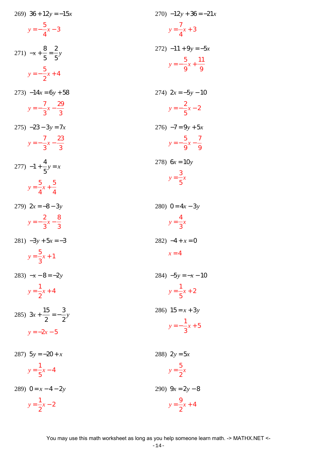| 269) $36 + 12y = -15x$                   | $270$ ) $-12y + 36 = -21x$         |
|------------------------------------------|------------------------------------|
| $y=-\frac{5}{4}x-3$                      | $y = \frac{7}{4}x + 3$             |
| 271) $-x+\frac{8}{5}=\frac{2}{5}y$       | $272$ ) $-11 + 9y = -5x$           |
| $y = -\frac{5}{2}x + 4$                  | $y = -\frac{5}{9}x + \frac{11}{9}$ |
| $273) -14x = 6y + 58$                    | 274) $2x = -5y - 10$               |
| $y=-\frac{7}{3}x-\frac{29}{3}$           | $y=-\frac{2}{5}x-2$                |
| $275$ ) $-23 - 3y = 7x$                  | $276$ ) $-7 = 9y + 5x$             |
| $y=-\frac{7}{3}x-\frac{23}{3}$           | $y = -\frac{5}{9}x - \frac{7}{9}$  |
| 277) $-1 + \frac{4}{5}y = x$             | 278) $6x = 10y$                    |
| $y = \frac{5}{4}x + \frac{5}{4}$         | $y = \frac{3}{5}x$                 |
| 279) $2x = -8 - 3y$                      | 280) $0 = 4x - 3y$                 |
| $y=-\frac{2}{3}x-\frac{8}{3}$            | $y=\frac{4}{3}x$                   |
| $281) -3y + 5x = -3$                     | $282) -4 + x = 0$                  |
| $y = \frac{5}{3}x + 1$                   | $x=4$                              |
| 283) $-x-8=-2y$                          | 284) $-5y = -x - 10$               |
| $y = \frac{1}{2}x + 4$                   | $y = \frac{1}{5}x + 2$             |
| 285) $3x + \frac{15}{2} = -\frac{3}{2}y$ | 286) $15 = x + 3y$                 |
| $y = -2x - 5$                            | $y=-\frac{1}{3}x+5$                |
| 287) $5y = -20 + x$                      | 288) $2y = 5x$                     |
| $y = \frac{1}{5}x - 4$                   | $y = \frac{5}{2}x$                 |
|                                          |                                    |
| 289) $0 = x - 4 - 2y$                    | 290) $9x = 2y - 8$                 |
| $y = \frac{1}{2}x - 2$                   | $y = \frac{9}{2}x + 4$             |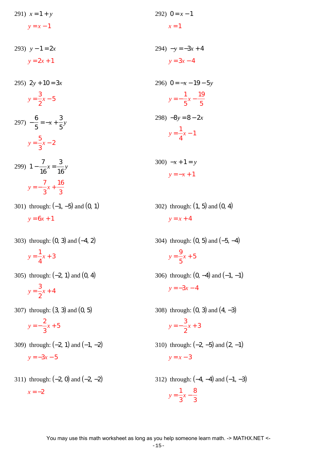291)  $x = 1 + y$  $y = x - 1$ 292)  $0 = x - 1$  $x = 1$ 

293) *y* − 1 = 2*x*  $y = 2x + 1$ 294)  $-y = -3x + 4$  $y = 3x - 4$ 

> 296)  $0 = -x - 19 - 5y$ *y* = − 1 5 *x* − 19 5 298)  $-8y = 8 - 2x$ *y* = 1 4 *x* − 1

> > 300)  $-x+1=y$ *y* = −*x* + 1

302) through: (1, 5) and (0, 4)  $y = x + 4$ 

304) through: (0, 5) and (−5, −4)  $y =$ 9 5 *x* + 5 306) through:  $(0, -4)$  and  $(-1, -1)$ 

$$
y = -3x - 4
$$

2

308) through: (0, 3) and (4, −3) *y* = − 3 *x* + 3

310) through:  $(-2, -5)$  and  $(2, -1)$  $y = x - 3$ 

312) through:  $(-4, -4)$  and  $(-1, -3)$ *y* = 1 3 *x* − 8 3

*y* = − 7 3 *x* + 16 3 301) through: (−1, −5) and (0, 1)

7 16  $x =$ 3 16 *y*

 $y = 6x + 1$ 

295)  $2y + 10 = 3x$ 

 $y =$ 3 2 *x* − 5

*y* = 5 3 *x* − 2

299) 1 −

6 5

 $=-x +$ 

3 5 *y*

297) −

303) through: (0, 3) and (−4, 2) 1

 $y =$ 4 *x* + 3

305) through: (−2, 1) and (0, 4)

$$
y = \frac{3}{2}x + 4
$$

307) through: (3, 3) and (0, 5)

*y* = − 2 3 *x* + 5

- 309) through:  $(-2, 1)$  and  $(-1, -2)$  $y = -3x - 5$
- 311) through:  $(-2, 0)$  and  $(-2, -2)$  $x = -2$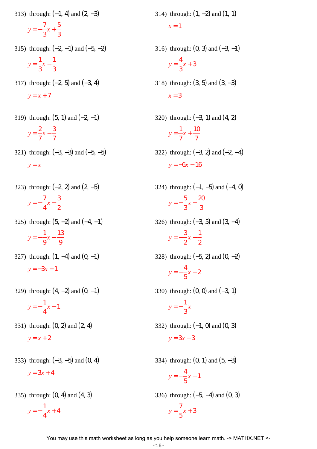313) through:  $(-1, 4)$  and  $(2, -3)$ 

$$
y = -\frac{7}{3}x + \frac{5}{3}
$$

- 315) through:  $(-2, -1)$  and  $(-5, -2)$ *y* = 1 3 *x* − 1 3
- 317) through: (−2, 5) and (−3, 4)  $y = x + 7$
- 319) through:  $(5, 1)$  and  $(-2, -1)$ *y* = 2 7 *x* − 3 7
- 321) through: (−3, −3) and (−5, −5) *y* = *x*
- 323) through: (−2, 2) and (2, −5)

$$
y = -\frac{7}{4}x - \frac{3}{2}
$$

325) through:  $(5, -2)$  and  $(-4, -1)$ 

$$
y = -\frac{1}{9}x - \frac{13}{9}
$$

327) through:  $(1, -4)$  and  $(0, -1)$  $y = -3x - 1$ 

329) through:  $(4, -2)$  and  $(0, -1)$ 

$$
y = -\frac{1}{4}x - 1
$$

- 331) through: (0, 2) and (2, 4)  $y = x + 2$
- 333) through: (−3, −5) and (0, 4)  $y = 3x + 4$
- 335) through: (0, 4) and (4, 3)

$$
y = -\frac{1}{4}x + 4
$$

 $x = 1$ 316) through:  $(0, 3)$  and  $(-3, -1)$ 4

314) through:  $(1, -2)$  and  $(1, 1)$ 

318) through:  $(3, 5)$  and  $(3, -3)$  $x = 3$ 

*y* =

3 *x* + 3

- 320) through: (−3, 1) and (4, 2) *y* = 1 7 *x* + 10 7
- 322) through: (−3, 2) and (−2, −4)  $y = -6x - 16$
- 324) through:  $(-1, -5)$  and  $(-4, 0)$ *y* = − 5 3 *x* − 20 3
- 326) through: (−3, 5) and (3, −4) *y* = − 3 2 *x* + 1 2
- 328) through: (−5, 2) and (0, −2) *y* = − 4 5 *x* − 2
- 330) through:  $(0, 0)$  and  $(-3, 1)$

*x*

$$
y = -\frac{1}{3}
$$

- 332) through: (−1, 0) and (0, 3)  $y = 3x + 3$
- 334) through:  $(0, 1)$  and  $(5, -3)$ *y* = − 4 5 *x* + 1 336) through: (−5, −4) and (0, 3) *y* = 7 *x* + 3

5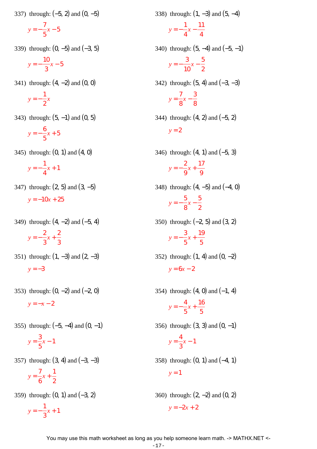337) through: (−5, 2) and (0, −5)

$$
y = -\frac{7}{5}x - 5
$$

339) through:  $(0, -5)$  and  $(-3, 5)$ 

$$
y = -\frac{10}{3}x - 5
$$

341) through:  $(4, -2)$  and  $(0, 0)$ 

$$
y = -\frac{1}{2}x
$$

343) through:  $(5, -1)$  and  $(0, 5)$ 

$$
y = -\frac{6}{5}x + 5
$$

345) through:  $(0, 1)$  and  $(4, 0)$ 

$$
y = -\frac{1}{4}x + 1
$$

- 347) through: (2, 5) and (3, −5)  $y = -10x + 25$
- 349) through: (4, −2) and (−5, 4) *y* = − 2 3 *x* + 2 3
- 351) through:  $(1, -3)$  and  $(2, -3)$  $y = -3$
- 353) through:  $(0, -2)$  and  $(-2, 0)$  $y = -x - 2$
- 355) through:  $(-5, -4)$  and  $(0, -1)$  $y =$ 3 5 *x* − 1
- 357) through: (3, 4) and (−3, −3)

$$
y = \frac{7}{6}x + \frac{1}{2}
$$

359) through: (0, 1) and (−3, 2) *y* = − 1 3 *x* + 1

- 338) through: (1, −3) and (5, −4) *y* = − 1 4 *x* − 11 4 340) through:  $(5, -4)$  and  $(-5, -1)$ *y* = − 3 10 *x* − 5 2 342) through:  $(5, 4)$  and  $(-3, -3)$  $y =$ 7 8 *x* − 3 8 344) through: (4, 2) and (−5, 2)  $y = 2$
- 346) through: (4, 1) and (−5, 3) *y* = − 2 9 *x* + 17 9
- 348) through: (4, −5) and (−4, 0) *y* = − 5 8 *x* − 5 2
- 350) through: (−2, 5) and (3, 2) *y* = − 3 5 *x* + 19 5
- 352) through:  $(1, 4)$  and  $(0, -2)$  $y = 6x - 2$
- 354) through:  $(4, 0)$  and  $(-1, 4)$ *y* = − 4 5 *x* + 16 5 356) through:  $(3, 3)$  and  $(0, -1)$  $y =$ 4 3 *x* − 1

358) through: (0, 1) and (−4, 1)  $y = 1$ 

360) through: (2, −2) and (0, 2)  $y = -2x + 2$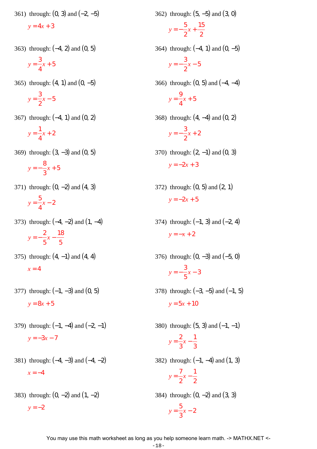361) through: (0, 3) and (−2, −5)

 $y = 4x + 3$ 

363) through: (−4, 2) and (0, 5)

$$
y = \frac{3}{4}x + 5
$$

365) through:  $(4, 1)$  and  $(0, -5)$ 

$$
y = \frac{3}{2}x - 5
$$

367) through: (−4, 1) and (0, 2)

$$
y = \frac{1}{4}x + 2
$$

369) through: (3, −3) and (0, 5)

$$
y = -\frac{8}{3}x + 5
$$

371) through: (0, −2) and (4, 3)

$$
y = \frac{5}{4}x - 2
$$

373) through: (−4, −2) and (1, −4)

$$
y = -\frac{2}{5}x - \frac{18}{5}
$$

- 375) through:  $(4, -1)$  and  $(4, 4)$  $x = 4$
- 377) through:  $(-1, -3)$  and  $(0, 5)$  $y = 8x + 5$
- 379) through:  $(-1, -4)$  and  $(-2, -1)$  $y = -3x - 7$
- 381) through: (−4, −3) and (−4, −2)  $x = -4$
- 383) through: (0, −2) and (1, −2)  $y = -2$

*y* = − 5 2 *x* + 15 2 364) through: (−4, 1) and (0, −5) *y* = − 3 2 *x* − 5 366) through: (0, 5) and (−4, −4)  $y =$ 9 4 *x* + 5 368) through: (4, −4) and (0, 2) *y* = − 3 2 *x* + 2 370) through:  $(2, -1)$  and  $(0, 3)$  $y = -2x + 3$ 

362) through: (5, −5) and (3, 0)

- 372) through:  $(0, 5)$  and  $(2, 1)$  $y = -2x + 5$
- 374) through:  $(-1, 3)$  and  $(-2, 4)$  $y = -x + 2$

376) through: (0, -3) and (-5, 0)  

$$
y = -\frac{3}{5}x - 3
$$

- 378) through:  $(-3, -5)$  and  $(-1, 5)$  $y = 5x + 10$
- 380) through:  $(5, 3)$  and  $(-1, -1)$  $y =$ 2 3 *x* − 1 3 382) through: (−1, −4) and (1, 3)  $y =$ 7 2 *x* − 1 2 384) through: (0, −2) and (3, 3) *y* = 5 3 *x* − 2